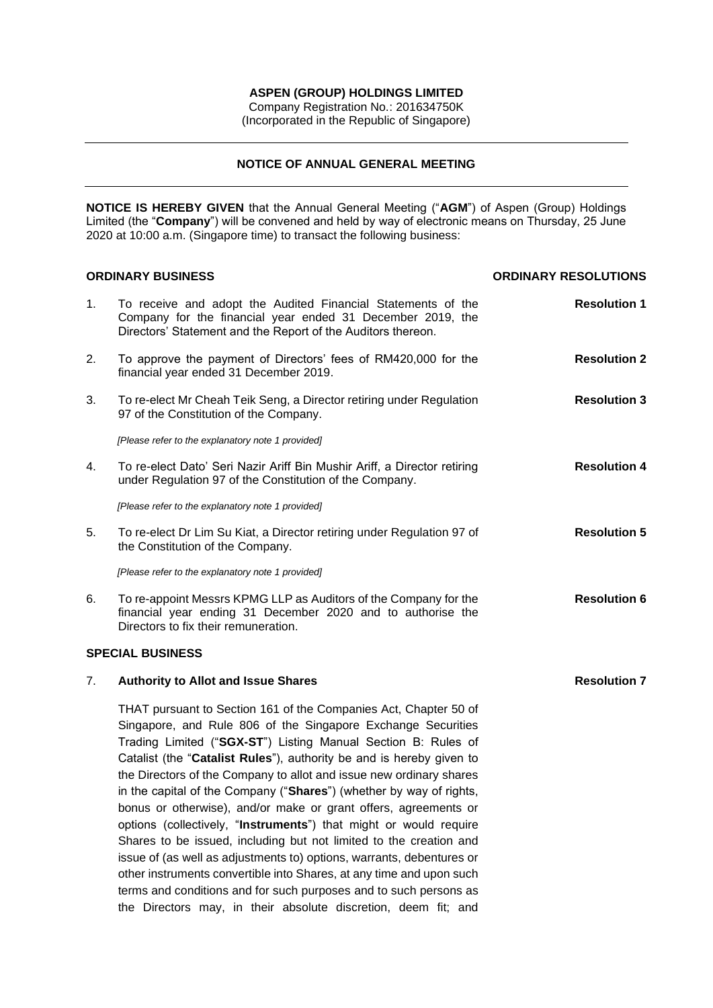# **ASPEN (GROUP) HOLDINGS LIMITED**

Company Registration No.: 201634750K (Incorporated in the Republic of Singapore)

# **NOTICE OF ANNUAL GENERAL MEETING**

**NOTICE IS HEREBY GIVEN** that the Annual General Meeting ("**AGM**") of Aspen (Group) Holdings Limited (the "Company") will be convened and held by way of electronic means on Thursday, 25 June 2020 at 10:00 a.m. (Singapore time) to transact the following business:

| <b>ORDINARY BUSINESS</b> |                                                                                                                                                                                                                                                                                                                                                                                                                                                                                                                                                                                                                                                                                                                                                                                                                                                             | <b>ORDINARY RESOLUTIONS</b> |
|--------------------------|-------------------------------------------------------------------------------------------------------------------------------------------------------------------------------------------------------------------------------------------------------------------------------------------------------------------------------------------------------------------------------------------------------------------------------------------------------------------------------------------------------------------------------------------------------------------------------------------------------------------------------------------------------------------------------------------------------------------------------------------------------------------------------------------------------------------------------------------------------------|-----------------------------|
| 1.                       | To receive and adopt the Audited Financial Statements of the<br>Company for the financial year ended 31 December 2019, the<br>Directors' Statement and the Report of the Auditors thereon.                                                                                                                                                                                                                                                                                                                                                                                                                                                                                                                                                                                                                                                                  | <b>Resolution 1</b>         |
| 2.                       | To approve the payment of Directors' fees of RM420,000 for the<br>financial year ended 31 December 2019.                                                                                                                                                                                                                                                                                                                                                                                                                                                                                                                                                                                                                                                                                                                                                    | <b>Resolution 2</b>         |
| 3.                       | To re-elect Mr Cheah Teik Seng, a Director retiring under Regulation<br>97 of the Constitution of the Company.                                                                                                                                                                                                                                                                                                                                                                                                                                                                                                                                                                                                                                                                                                                                              | <b>Resolution 3</b>         |
|                          | [Please refer to the explanatory note 1 provided]                                                                                                                                                                                                                                                                                                                                                                                                                                                                                                                                                                                                                                                                                                                                                                                                           |                             |
| 4.                       | To re-elect Dato' Seri Nazir Ariff Bin Mushir Ariff, a Director retiring<br>under Regulation 97 of the Constitution of the Company.                                                                                                                                                                                                                                                                                                                                                                                                                                                                                                                                                                                                                                                                                                                         | <b>Resolution 4</b>         |
|                          | [Please refer to the explanatory note 1 provided]                                                                                                                                                                                                                                                                                                                                                                                                                                                                                                                                                                                                                                                                                                                                                                                                           |                             |
| 5.                       | To re-elect Dr Lim Su Kiat, a Director retiring under Regulation 97 of<br>the Constitution of the Company.                                                                                                                                                                                                                                                                                                                                                                                                                                                                                                                                                                                                                                                                                                                                                  | <b>Resolution 5</b>         |
|                          | [Please refer to the explanatory note 1 provided]                                                                                                                                                                                                                                                                                                                                                                                                                                                                                                                                                                                                                                                                                                                                                                                                           |                             |
| 6.                       | To re-appoint Messrs KPMG LLP as Auditors of the Company for the<br>financial year ending 31 December 2020 and to authorise the<br>Directors to fix their remuneration.                                                                                                                                                                                                                                                                                                                                                                                                                                                                                                                                                                                                                                                                                     | <b>Resolution 6</b>         |
|                          | <b>SPECIAL BUSINESS</b>                                                                                                                                                                                                                                                                                                                                                                                                                                                                                                                                                                                                                                                                                                                                                                                                                                     |                             |
| 7.                       | <b>Authority to Allot and Issue Shares</b>                                                                                                                                                                                                                                                                                                                                                                                                                                                                                                                                                                                                                                                                                                                                                                                                                  | <b>Resolution 7</b>         |
|                          | THAT pursuant to Section 161 of the Companies Act, Chapter 50 of<br>Singapore, and Rule 806 of the Singapore Exchange Securities<br>Trading Limited ("SGX-ST") Listing Manual Section B: Rules of<br>Catalist (the "Catalist Rules"), authority be and is hereby given to<br>the Directors of the Company to allot and issue new ordinary shares<br>in the capital of the Company ("Shares") (whether by way of rights,<br>bonus or otherwise), and/or make or grant offers, agreements or<br>options (collectively, "Instruments") that might or would require<br>Shares to be issued, including but not limited to the creation and<br>issue of (as well as adjustments to) options, warrants, debentures or<br>other instruments convertible into Shares, at any time and upon such<br>terms and conditions and for such purposes and to such persons as |                             |

the Directors may, in their absolute discretion, deem fit; and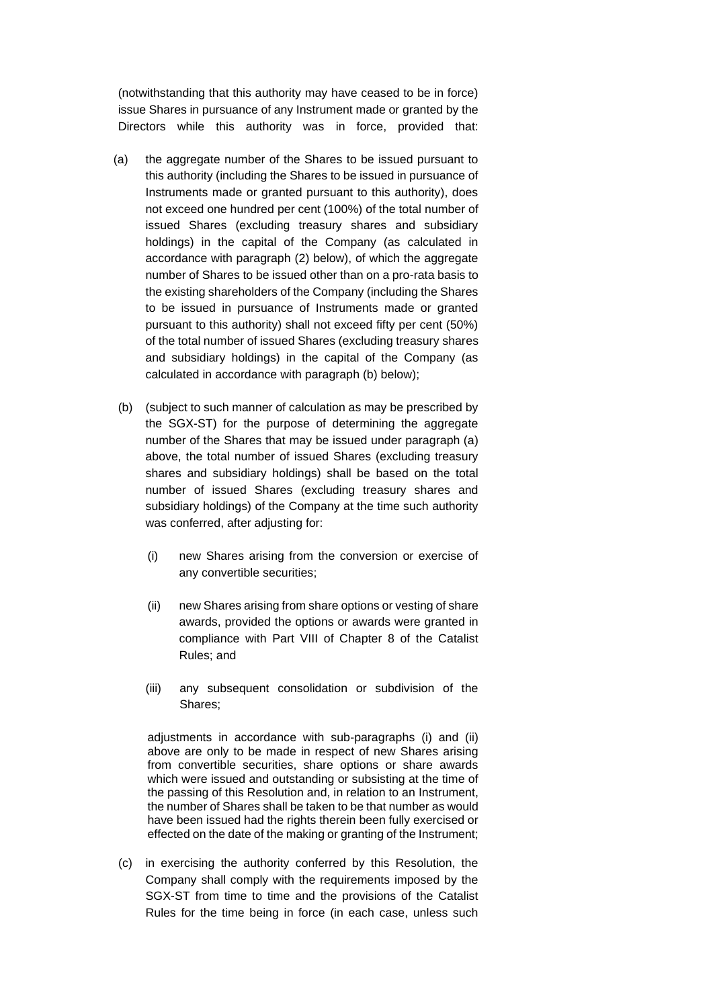(notwithstanding that this authority may have ceased to be in force) issue Shares in pursuance of any Instrument made or granted by the Directors while this authority was in force, provided that:

- (a) the aggregate number of the Shares to be issued pursuant to this authority (including the Shares to be issued in pursuance of Instruments made or granted pursuant to this authority), does not exceed one hundred per cent (100%) of the total number of issued Shares (excluding treasury shares and subsidiary holdings) in the capital of the Company (as calculated in accordance with paragraph (2) below), of which the aggregate number of Shares to be issued other than on a pro-rata basis to the existing shareholders of the Company (including the Shares to be issued in pursuance of Instruments made or granted pursuant to this authority) shall not exceed fifty per cent (50%) of the total number of issued Shares (excluding treasury shares and subsidiary holdings) in the capital of the Company (as calculated in accordance with paragraph (b) below);
- (b) (subject to such manner of calculation as may be prescribed by the SGX-ST) for the purpose of determining the aggregate number of the Shares that may be issued under paragraph (a) above, the total number of issued Shares (excluding treasury shares and subsidiary holdings) shall be based on the total number of issued Shares (excluding treasury shares and subsidiary holdings) of the Company at the time such authority was conferred, after adjusting for:
	- (i) new Shares arising from the conversion or exercise of any convertible securities;
	- (ii) new Shares arising from share options or vesting of share awards, provided the options or awards were granted in compliance with Part VIII of Chapter 8 of the Catalist Rules; and
	- (iii) any subsequent consolidation or subdivision of the Shares;

adjustments in accordance with sub-paragraphs (i) and (ii) above are only to be made in respect of new Shares arising from convertible securities, share options or share awards which were issued and outstanding or subsisting at the time of the passing of this Resolution and, in relation to an Instrument, the number of Shares shall be taken to be that number as would have been issued had the rights therein been fully exercised or effected on the date of the making or granting of the Instrument;

(c) in exercising the authority conferred by this Resolution, the Company shall comply with the requirements imposed by the SGX-ST from time to time and the provisions of the Catalist Rules for the time being in force (in each case, unless such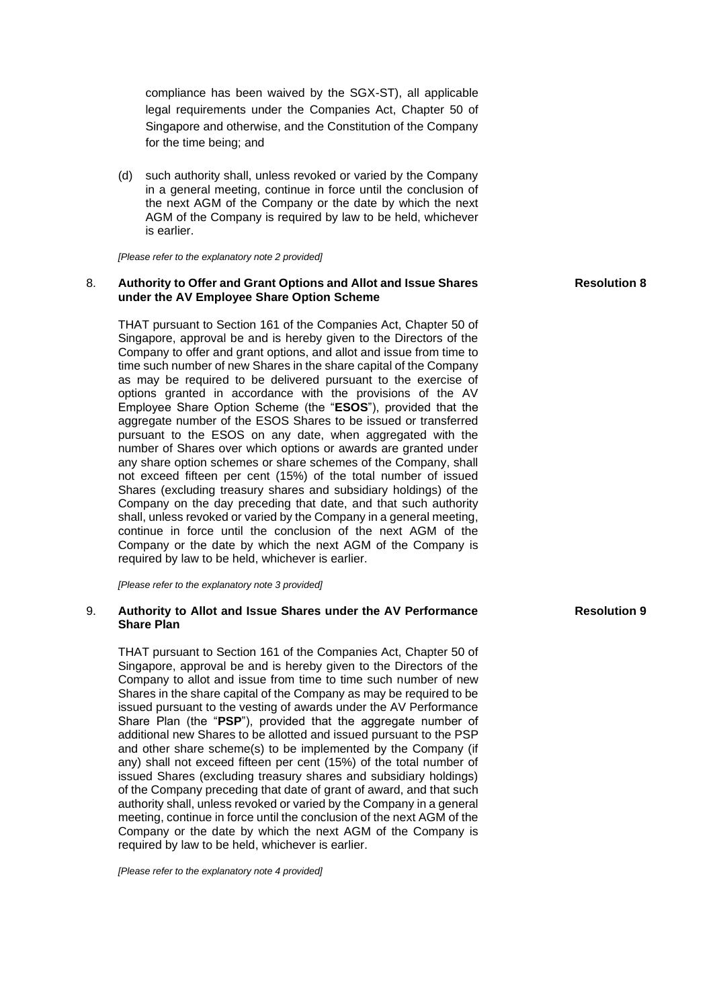compliance has been waived by the SGX-ST), all applicable legal requirements under the Companies Act, Chapter 50 of Singapore and otherwise, and the Constitution of the Company for the time being; and

(d) such authority shall, unless revoked or varied by the Company in a general meeting, continue in force until the conclusion of the next AGM of the Company or the date by which the next AGM of the Company is required by law to be held, whichever is earlier.

*[Please refer to the explanatory note 2 provided]*

## 8. **Authority to Offer and Grant Options and Allot and Issue Shares under the AV Employee Share Option Scheme**

THAT pursuant to Section 161 of the Companies Act, Chapter 50 of Singapore, approval be and is hereby given to the Directors of the Company to offer and grant options, and allot and issue from time to time such number of new Shares in the share capital of the Company as may be required to be delivered pursuant to the exercise of options granted in accordance with the provisions of the AV Employee Share Option Scheme (the "**ESOS**"), provided that the aggregate number of the ESOS Shares to be issued or transferred pursuant to the ESOS on any date, when aggregated with the number of Shares over which options or awards are granted under any share option schemes or share schemes of the Company, shall not exceed fifteen per cent (15%) of the total number of issued Shares (excluding treasury shares and subsidiary holdings) of the Company on the day preceding that date, and that such authority shall, unless revoked or varied by the Company in a general meeting, continue in force until the conclusion of the next AGM of the Company or the date by which the next AGM of the Company is required by law to be held, whichever is earlier.

*[Please refer to the explanatory note 3 provided]*

## 9. **Authority to Allot and Issue Shares under the AV Performance Share Plan**

THAT pursuant to Section 161 of the Companies Act, Chapter 50 of Singapore, approval be and is hereby given to the Directors of the Company to allot and issue from time to time such number of new Shares in the share capital of the Company as may be required to be issued pursuant to the vesting of awards under the AV Performance Share Plan (the "PSP"), provided that the aggregate number of additional new Shares to be allotted and issued pursuant to the PSP and other share scheme(s) to be implemented by the Company (if any) shall not exceed fifteen per cent (15%) of the total number of issued Shares (excluding treasury shares and subsidiary holdings) of the Company preceding that date of grant of award, and that such authority shall, unless revoked or varied by the Company in a general meeting, continue in force until the conclusion of the next AGM of the Company or the date by which the next AGM of the Company is required by law to be held, whichever is earlier.

*[Please refer to the explanatory note 4 provided]*

**Resolution 8**

### **Resolution 9**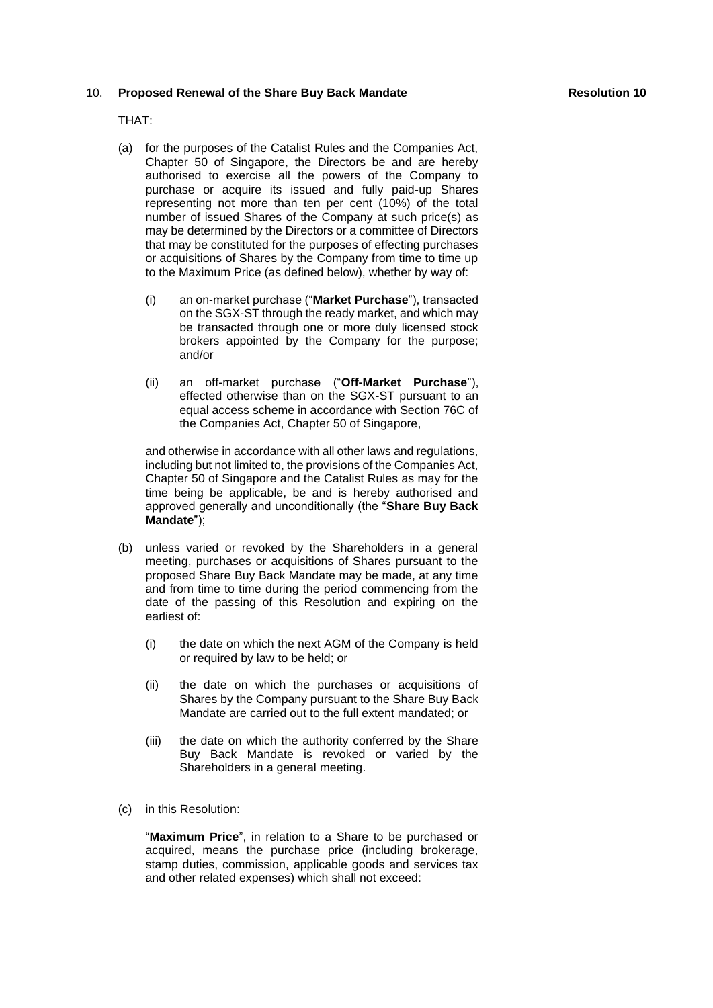### 10. **Proposed Renewal of the Share Buy Back Mandate**

#### THAT:

- (a) for the purposes of the Catalist Rules and the Companies Act, Chapter 50 of Singapore, the Directors be and are hereby authorised to exercise all the powers of the Company to purchase or acquire its issued and fully paid-up Shares representing not more than ten per cent (10%) of the total number of issued Shares of the Company at such price(s) as may be determined by the Directors or a committee of Directors that may be constituted for the purposes of effecting purchases or acquisitions of Shares by the Company from time to time up to the Maximum Price (as defined below), whether by way of:
	- (i) an on-market purchase ("**Market Purchase**"), transacted on the SGX-ST through the ready market, and which may be transacted through one or more duly licensed stock brokers appointed by the Company for the purpose; and/or
	- (ii) an off-market purchase ("**Off-Market Purchase**"), effected otherwise than on the SGX-ST pursuant to an equal access scheme in accordance with Section 76C of the Companies Act, Chapter 50 of Singapore,

and otherwise in accordance with all other laws and regulations, including but not limited to, the provisions of the Companies Act, Chapter 50 of Singapore and the Catalist Rules as may for the time being be applicable, be and is hereby authorised and approved generally and unconditionally (the "**Share Buy Back Mandate**");

- (b) unless varied or revoked by the Shareholders in a general meeting, purchases or acquisitions of Shares pursuant to the proposed Share Buy Back Mandate may be made, at any time and from time to time during the period commencing from the date of the passing of this Resolution and expiring on the earliest of:
	- (i) the date on which the next AGM of the Company is held or required by law to be held; or
	- (ii) the date on which the purchases or acquisitions of Shares by the Company pursuant to the Share Buy Back Mandate are carried out to the full extent mandated; or
	- (iii) the date on which the authority conferred by the Share Buy Back Mandate is revoked or varied by the Shareholders in a general meeting.
- (c) in this Resolution:

"**Maximum Price**", in relation to a Share to be purchased or acquired, means the purchase price (including brokerage, stamp duties, commission, applicable goods and services tax and other related expenses) which shall not exceed: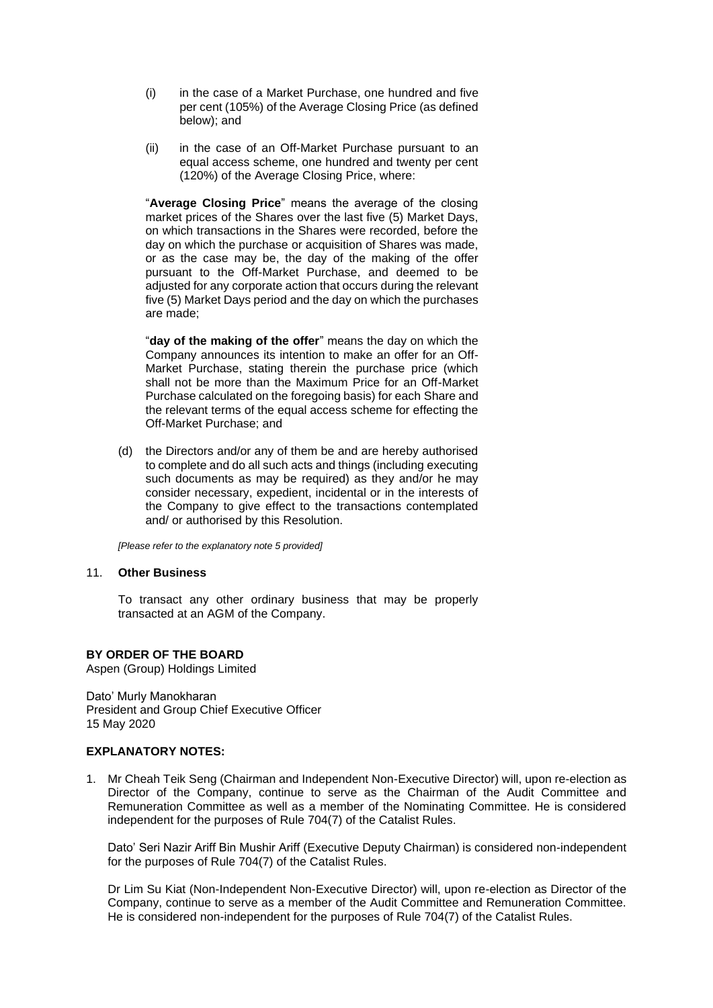- (i) in the case of a Market Purchase, one hundred and five per cent (105%) of the Average Closing Price (as defined below); and
- (ii) in the case of an Off-Market Purchase pursuant to an equal access scheme, one hundred and twenty per cent (120%) of the Average Closing Price, where:

"**Average Closing Price**" means the average of the closing market prices of the Shares over the last five (5) Market Days, on which transactions in the Shares were recorded, before the day on which the purchase or acquisition of Shares was made, or as the case may be, the day of the making of the offer pursuant to the Off-Market Purchase, and deemed to be adjusted for any corporate action that occurs during the relevant five (5) Market Days period and the day on which the purchases are made;

"**day of the making of the offer**" means the day on which the Company announces its intention to make an offer for an Off-Market Purchase, stating therein the purchase price (which shall not be more than the Maximum Price for an Off-Market Purchase calculated on the foregoing basis) for each Share and the relevant terms of the equal access scheme for effecting the Off-Market Purchase; and

(d) the Directors and/or any of them be and are hereby authorised to complete and do all such acts and things (including executing such documents as may be required) as they and/or he may consider necessary, expedient, incidental or in the interests of the Company to give effect to the transactions contemplated and/ or authorised by this Resolution.

*[Please refer to the explanatory note 5 provided]*

# 11. **Other Business**

To transact any other ordinary business that may be properly transacted at an AGM of the Company.

# **BY ORDER OF THE BOARD**

Aspen (Group) Holdings Limited

Dato' Murly Manokharan President and Group Chief Executive Officer 15 May 2020

#### **EXPLANATORY NOTES:**

1. Mr Cheah Teik Seng (Chairman and Independent Non-Executive Director) will, upon re-election as Director of the Company, continue to serve as the Chairman of the Audit Committee and Remuneration Committee as well as a member of the Nominating Committee. He is considered independent for the purposes of Rule 704(7) of the Catalist Rules.

Dato' Seri Nazir Ariff Bin Mushir Ariff (Executive Deputy Chairman) is considered non-independent for the purposes of Rule 704(7) of the Catalist Rules.

Dr Lim Su Kiat (Non-Independent Non-Executive Director) will, upon re-election as Director of the Company, continue to serve as a member of the Audit Committee and Remuneration Committee. He is considered non-independent for the purposes of Rule 704(7) of the Catalist Rules.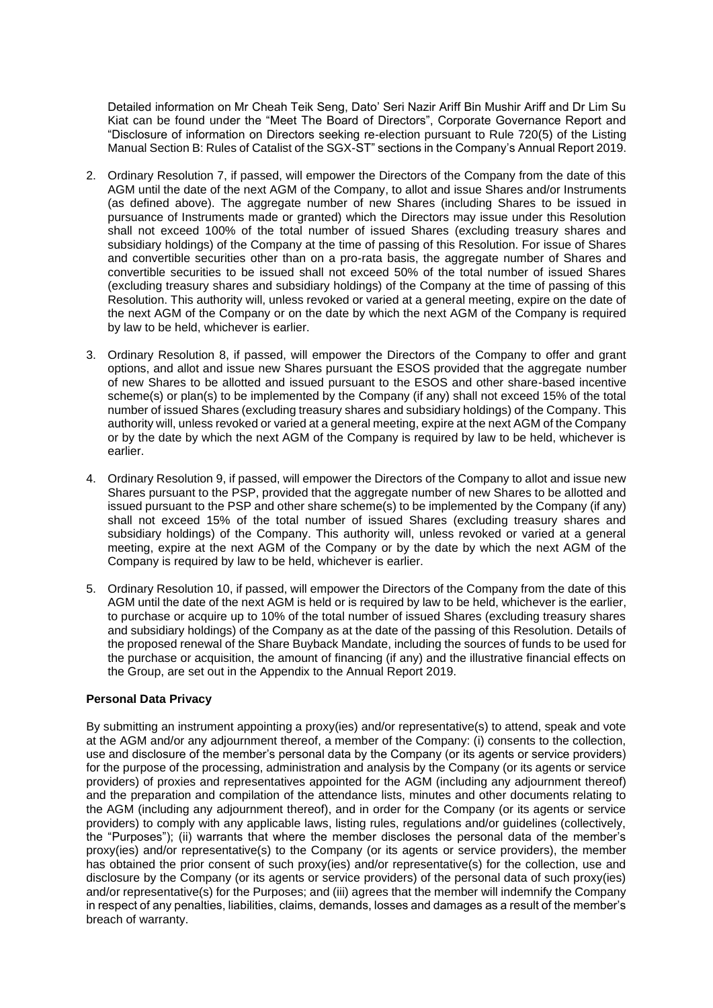Detailed information on Mr Cheah Teik Seng, Dato' Seri Nazir Ariff Bin Mushir Ariff and Dr Lim Su Kiat can be found under the "Meet The Board of Directors", Corporate Governance Report and "Disclosure of information on Directors seeking re-election pursuant to Rule 720(5) of the Listing Manual Section B: Rules of Catalist of the SGX-ST" sections in the Company's Annual Report 2019.

- 2. Ordinary Resolution 7, if passed, will empower the Directors of the Company from the date of this AGM until the date of the next AGM of the Company, to allot and issue Shares and/or Instruments (as defined above). The aggregate number of new Shares (including Shares to be issued in pursuance of Instruments made or granted) which the Directors may issue under this Resolution shall not exceed 100% of the total number of issued Shares (excluding treasury shares and subsidiary holdings) of the Company at the time of passing of this Resolution. For issue of Shares and convertible securities other than on a pro-rata basis, the aggregate number of Shares and convertible securities to be issued shall not exceed 50% of the total number of issued Shares (excluding treasury shares and subsidiary holdings) of the Company at the time of passing of this Resolution. This authority will, unless revoked or varied at a general meeting, expire on the date of the next AGM of the Company or on the date by which the next AGM of the Company is required by law to be held, whichever is earlier.
- 3. Ordinary Resolution 8, if passed, will empower the Directors of the Company to offer and grant options, and allot and issue new Shares pursuant the ESOS provided that the aggregate number of new Shares to be allotted and issued pursuant to the ESOS and other share-based incentive scheme(s) or plan(s) to be implemented by the Company (if any) shall not exceed 15% of the total number of issued Shares (excluding treasury shares and subsidiary holdings) of the Company. This authority will, unless revoked or varied at a general meeting, expire at the next AGM of the Company or by the date by which the next AGM of the Company is required by law to be held, whichever is earlier.
- 4. Ordinary Resolution 9, if passed, will empower the Directors of the Company to allot and issue new Shares pursuant to the PSP, provided that the aggregate number of new Shares to be allotted and issued pursuant to the PSP and other share scheme(s) to be implemented by the Company (if any) shall not exceed 15% of the total number of issued Shares (excluding treasury shares and subsidiary holdings) of the Company. This authority will, unless revoked or varied at a general meeting, expire at the next AGM of the Company or by the date by which the next AGM of the Company is required by law to be held, whichever is earlier.
- 5. Ordinary Resolution 10, if passed, will empower the Directors of the Company from the date of this AGM until the date of the next AGM is held or is required by law to be held, whichever is the earlier, to purchase or acquire up to 10% of the total number of issued Shares (excluding treasury shares and subsidiary holdings) of the Company as at the date of the passing of this Resolution. Details of the proposed renewal of the Share Buyback Mandate, including the sources of funds to be used for the purchase or acquisition, the amount of financing (if any) and the illustrative financial effects on the Group, are set out in the Appendix to the Annual Report 2019.

### **Personal Data Privacy**

By submitting an instrument appointing a proxy(ies) and/or representative(s) to attend, speak and vote at the AGM and/or any adjournment thereof, a member of the Company: (i) consents to the collection, use and disclosure of the member's personal data by the Company (or its agents or service providers) for the purpose of the processing, administration and analysis by the Company (or its agents or service providers) of proxies and representatives appointed for the AGM (including any adjournment thereof) and the preparation and compilation of the attendance lists, minutes and other documents relating to the AGM (including any adjournment thereof), and in order for the Company (or its agents or service providers) to comply with any applicable laws, listing rules, regulations and/or guidelines (collectively, the "Purposes"); (ii) warrants that where the member discloses the personal data of the member's proxy(ies) and/or representative(s) to the Company (or its agents or service providers), the member has obtained the prior consent of such proxy(ies) and/or representative(s) for the collection, use and disclosure by the Company (or its agents or service providers) of the personal data of such proxy(ies) and/or representative(s) for the Purposes; and (iii) agrees that the member will indemnify the Company in respect of any penalties, liabilities, claims, demands, losses and damages as a result of the member's breach of warranty.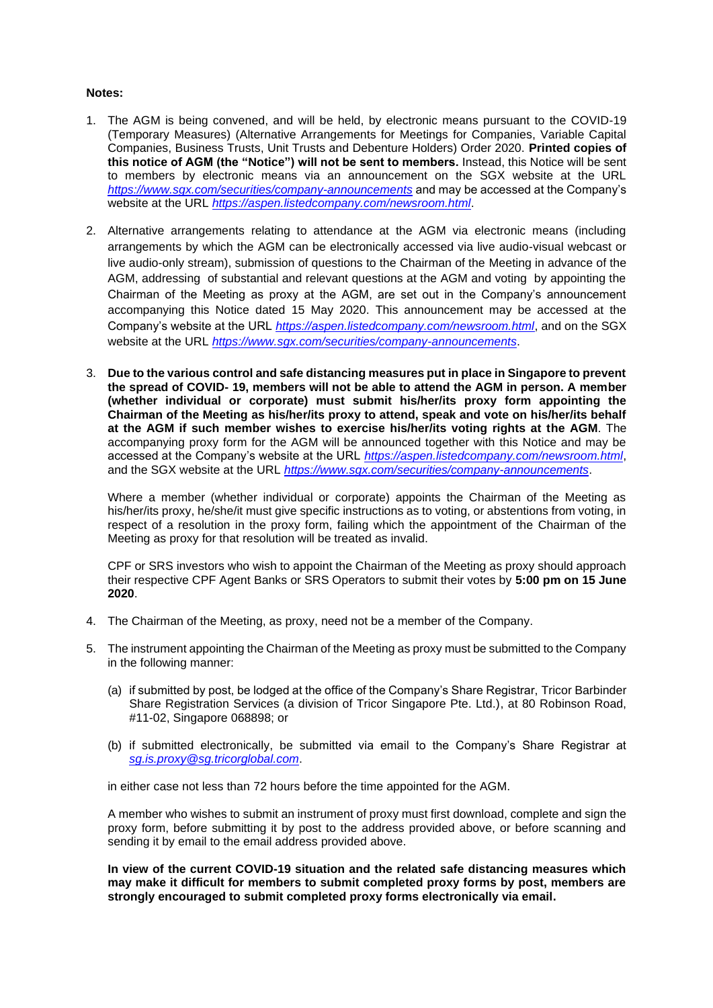# **Notes:**

- 1. The AGM is being convened, and will be held, by electronic means pursuant to the COVID-19 (Temporary Measures) (Alternative Arrangements for Meetings for Companies, Variable Capital Companies, Business Trusts, Unit Trusts and Debenture Holders) Order 2020. **Printed copies of this notice of AGM (the "Notice") will not be sent to members.** Instead, this Notice will be sent to members by electronic means via an announcement on the SGX website at the URL *<https://www.sgx.com/securities/company-announcements>* and may be accessed at the Company's website at the URL *<https://aspen.listedcompany.com/newsroom.html>*.
- 2. Alternative arrangements relating to attendance at the AGM via electronic means (including arrangements by which the AGM can be electronically accessed via live audio-visual webcast or live audio-only stream), submission of questions to the Chairman of the Meeting in advance of the AGM, addressing of substantial and relevant questions at the AGM and voting by appointing the Chairman of the Meeting as proxy at the AGM, are set out in the Company's announcement accompanying this Notice dated 15 May 2020. This announcement may be accessed at the Company's website at the URL *<https://aspen.listedcompany.com/newsroom.html>*, and on the SGX website at the URL *<https://www.sgx.com/securities/company-announcements>*.
- 3. **Due to the various control and safe distancing measures put in place in Singapore to prevent the spread of COVID- 19, members will not be able to attend the AGM in person. A member (whether individual or corporate) must submit his/her/its proxy form appointing the Chairman of the Meeting as his/her/its proxy to attend, speak and vote on his/her/its behalf at the AGM if such member wishes to exercise his/her/its voting rights at the AGM**. The accompanying proxy form for the AGM will be announced together with this Notice and may be accessed at the Company's website at the URL *<https://aspen.listedcompany.com/newsroom.html>*, and the SGX website at the URL *<https://www.sgx.com/securities/company-announcements>*.

Where a member (whether individual or corporate) appoints the Chairman of the Meeting as his/her/its proxy, he/she/it must give specific instructions as to voting, or abstentions from voting, in respect of a resolution in the proxy form, failing which the appointment of the Chairman of the Meeting as proxy for that resolution will be treated as invalid.

CPF or SRS investors who wish to appoint the Chairman of the Meeting as proxy should approach their respective CPF Agent Banks or SRS Operators to submit their votes by **5:00 pm on 15 June 2020**.

- 4. The Chairman of the Meeting, as proxy, need not be a member of the Company.
- 5. The instrument appointing the Chairman of the Meeting as proxy must be submitted to the Company in the following manner:
	- (a) if submitted by post, be lodged at the office of the Company's Share Registrar, Tricor Barbinder Share Registration Services (a division of Tricor Singapore Pte. Ltd.), at 80 Robinson Road, #11-02, Singapore 068898; or
	- (b) if submitted electronically, be submitted via email to the Company's Share Registrar at *[sg.is.proxy@sg.tricorglobal.com](mailto:sg.is.proxy@sg.tricorglobal.com)*.

in either case not less than 72 hours before the time appointed for the AGM.

A member who wishes to submit an instrument of proxy must first download, complete and sign the proxy form, before submitting it by post to the address provided above, or before scanning and sending it by email to the email address provided above.

**In view of the current COVID-19 situation and the related safe distancing measures which may make it difficult for members to submit completed proxy forms by post, members are strongly encouraged to submit completed proxy forms electronically via email.**